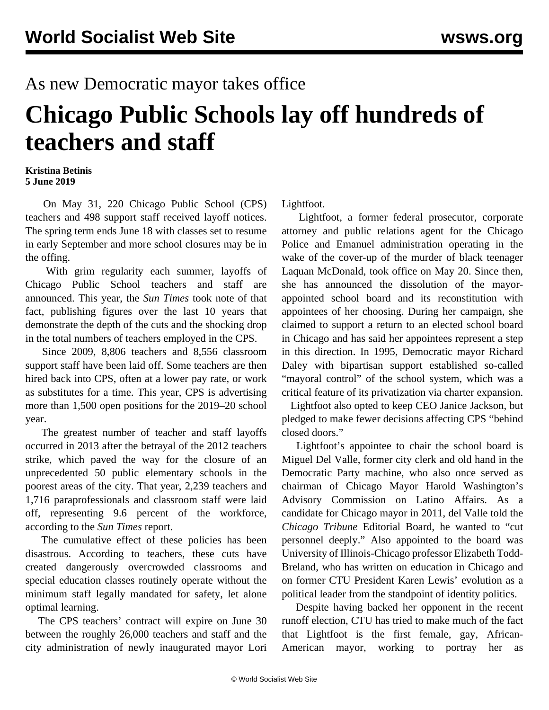## As new Democratic mayor takes office

## **Chicago Public Schools lay off hundreds of teachers and staff**

## **Kristina Betinis 5 June 2019**

 On May 31, 220 Chicago Public School (CPS) teachers and 498 support staff received layoff notices. The spring term ends June 18 with classes set to resume in early September and more school closures may be in the offing.

 With grim regularity each summer, layoffs of Chicago Public School teachers and staff are announced. This year, the *Sun Times* [took note](https://chicago.suntimes.com/2019/5/31/18647663/cps-teacher-layoffs-cps-2019-chicago-public-schools-union-ctu) of that fact, publishing figures over the last 10 years that demonstrate the depth of the cuts and the shocking drop in the total numbers of teachers employed in the CPS.

 Since 2009, 8,806 teachers and 8,556 classroom support staff have been laid off. Some teachers are then hired back into CPS, often at a lower pay rate, or work as substitutes for a time. This year, CPS is advertising more than 1,500 open positions for the 2019–20 school year.

 The greatest number of teacher and staff layoffs occurred in 2013 after the betrayal of the 2012 teachers strike, which paved the way for the closure of an unprecedented 50 public elementary schools in the poorest areas of the city. That year, 2,239 teachers and 1,716 paraprofessionals and classroom staff were laid off, representing 9.6 percent of the workforce, according to the *Sun Times* report.

 The cumulative effect of these policies has been disastrous. According to teachers, these cuts have created dangerously overcrowded classrooms and special education classes routinely operate without the minimum staff legally mandated for safety, let alone optimal learning.

 The CPS teachers' contract will expire on June 30 between the roughly 26,000 teachers and staff and the city administration of newly inaugurated mayor Lori Lightfoot.

 Lightfoot, a former federal prosecutor, corporate attorney and public relations agent for the Chicago Police and Emanuel administration operating in the wake of the cover-up of the murder of black teenager Laquan McDonald, took office on May 20. Since then, she has announced the dissolution of the mayorappointed school board and its reconstitution with appointees of her choosing. During her campaign, she claimed to support a return to an elected school board in Chicago and has said her appointees represent a step in this direction. In 1995, Democratic mayor Richard Daley with bipartisan support established so-called "mayoral control" of the school system, which was a critical feature of its privatization via charter expansion.

 Lightfoot also opted to keep CEO Janice Jackson, but pledged to make fewer decisions affecting CPS "behind closed doors."

 Lightfoot's appointee to chair the school board is Miguel Del Valle, former city clerk and old hand in the Democratic Party machine, who also once served as chairman of Chicago Mayor Harold Washington's Advisory Commission on Latino Affairs. As a candidate for Chicago mayor in 2011, del Valle told the *Chicago Tribune* Editorial Board, he wanted to "cut personnel deeply." Also appointed to the board was University of Illinois-Chicago professor Elizabeth Todd-Breland, who has written on education in Chicago and on former CTU President Karen Lewis' evolution as a political leader from the standpoint of identity politics.

 Despite having backed her opponent in the recent runoff election, CTU has tried to make much of the fact that Lightfoot is the first female, gay, African-American mayor, working to portray her as